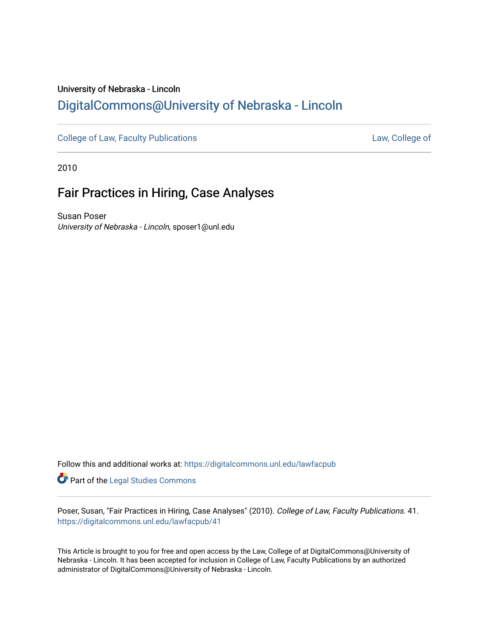# University of Nebraska - Lincoln [DigitalCommons@University of Nebraska - Lincoln](https://digitalcommons.unl.edu/)

[College of Law, Faculty Publications](https://digitalcommons.unl.edu/lawfacpub) **[Law, College of](https://digitalcommons.unl.edu/law) Law, College of** 

2010

## Fair Practices in Hiring, Case Analyses

Susan Poser University of Nebraska - Lincoln, sposer1@unl.edu

Follow this and additional works at: [https://digitalcommons.unl.edu/lawfacpub](https://digitalcommons.unl.edu/lawfacpub?utm_source=digitalcommons.unl.edu%2Flawfacpub%2F41&utm_medium=PDF&utm_campaign=PDFCoverPages) 

Part of the [Legal Studies Commons](http://network.bepress.com/hgg/discipline/366?utm_source=digitalcommons.unl.edu%2Flawfacpub%2F41&utm_medium=PDF&utm_campaign=PDFCoverPages) 

Poser, Susan, "Fair Practices in Hiring, Case Analyses" (2010). College of Law, Faculty Publications. 41. [https://digitalcommons.unl.edu/lawfacpub/41](https://digitalcommons.unl.edu/lawfacpub/41?utm_source=digitalcommons.unl.edu%2Flawfacpub%2F41&utm_medium=PDF&utm_campaign=PDFCoverPages)

This Article is brought to you for free and open access by the Law, College of at DigitalCommons@University of Nebraska - Lincoln. It has been accepted for inclusion in College of Law, Faculty Publications by an authorized administrator of DigitalCommons@University of Nebraska - Lincoln.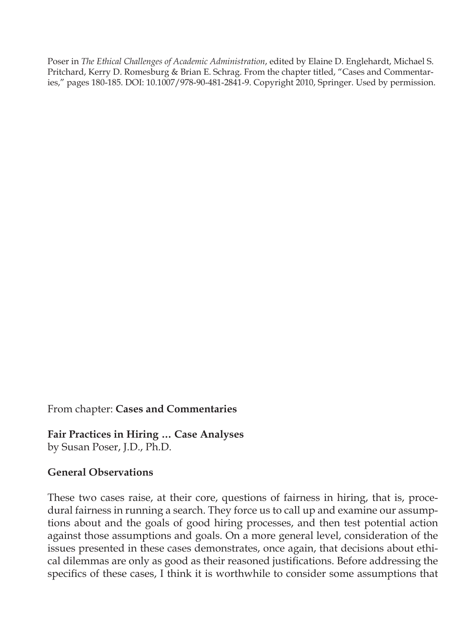Poser in *The Ethical Challenges of Academic Administration*, edited by Elaine D. Englehardt, Michael S. Pritchard, Kerry D. Romesburg & Brian E. Schrag. From the chapter titled, "Cases and Commentaries," pages 180-185. DOI: 10.1007/978-90-481-2841-9. Copyright 2010, Springer. Used by permission.

From chapter: **Cases and Commentaries**

**Fair Practices in Hiring … Case Analyses** by Susan Poser, J.D., Ph.D.

### **General Observations**

These two cases raise, at their core, questions of fairness in hiring, that is, procedural fairness in running a search. They force us to call up and examine our assumptions about and the goals of good hiring processes, and then test potential action against those assumptions and goals. On a more general level, consideration of the issues presented in these cases demonstrates, once again, that decisions about ethical dilemmas are only as good as their reasoned justifications. Before addressing the specifics of these cases, I think it is worthwhile to consider some assumptions that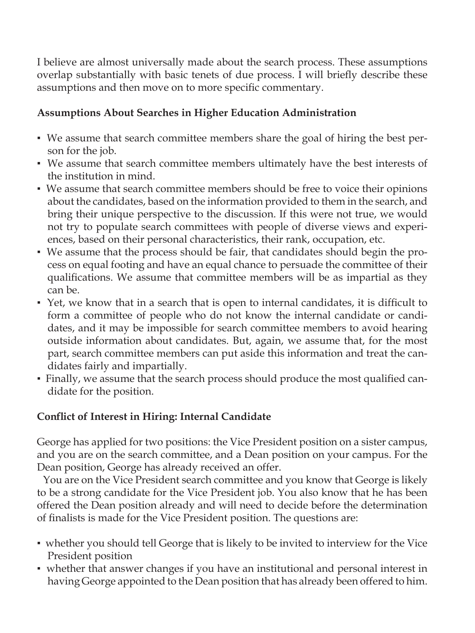I believe are almost universally made about the search process. These assumptions overlap substantially with basic tenets of due process. I will briefly describe these assumptions and then move on to more specific commentary.

## **Assumptions About Searches in Higher Education Administration**

- We assume that search committee members share the goal of hiring the best person for the job.
- We assume that search committee members ultimately have the best interests of the institution in mind.
- We assume that search committee members should be free to voice their opinions about the candidates, based on the information provided to them in the search, and bring their unique perspective to the discussion. If this were not true, we would not try to populate search committees with people of diverse views and experiences, based on their personal characteristics, their rank, occupation, etc.
- We assume that the process should be fair, that candidates should begin the process on equal footing and have an equal chance to persuade the committee of their qualifications. We assume that committee members will be as impartial as they can be.
- Yet, we know that in a search that is open to internal candidates, it is difficult to form a committee of people who do not know the internal candidate or candidates, and it may be impossible for search committee members to avoid hearing outside information about candidates. But, again, we assume that, for the most part, search committee members can put aside this information and treat the candidates fairly and impartially.
- Finally, we assume that the search process should produce the most qualified candidate for the position.

### **Conflict of Interest in Hiring: Internal Candidate**

George has applied for two positions: the Vice President position on a sister campus, and you are on the search committee, and a Dean position on your campus. For the Dean position, George has already received an offer.

You are on the Vice President search committee and you know that George is likely to be a strong candidate for the Vice President job. You also know that he has been offered the Dean position already and will need to decide before the determination of finalists is made for the Vice President position. The questions are:

- whether you should tell George that is likely to be invited to interview for the Vice President position
- whether that answer changes if you have an institutional and personal interest in having George appointed to the Dean position that has already been offered to him.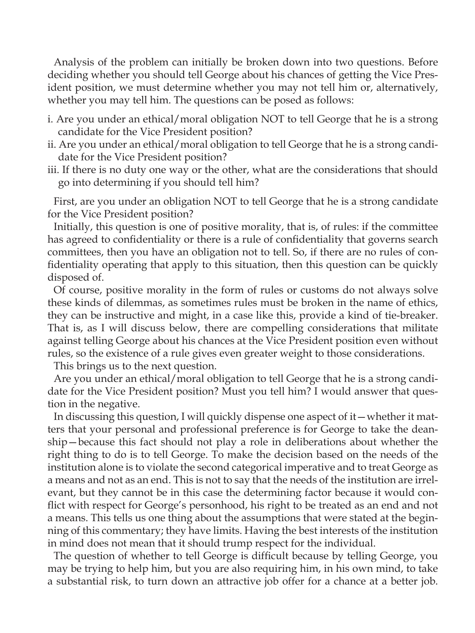Analysis of the problem can initially be broken down into two questions. Before deciding whether you should tell George about his chances of getting the Vice President position, we must determine whether you may not tell him or, alternatively, whether you may tell him. The questions can be posed as follows:

- i. Are you under an ethical/moral obligation NOT to tell George that he is a strong candidate for the Vice President position?
- ii. Are you under an ethical/moral obligation to tell George that he is a strong candidate for the Vice President position?
- iii. If there is no duty one way or the other, what are the considerations that should go into determining if you should tell him?

First, are you under an obligation NOT to tell George that he is a strong candidate for the Vice President position?

Initially, this question is one of positive morality, that is, of rules: if the committee has agreed to confidentiality or there is a rule of confidentiality that governs search committees, then you have an obligation not to tell. So, if there are no rules of confidentiality operating that apply to this situation, then this question can be quickly disposed of.

Of course, positive morality in the form of rules or customs do not always solve these kinds of dilemmas, as sometimes rules must be broken in the name of ethics, they can be instructive and might, in a case like this, provide a kind of tie-breaker. That is, as I will discuss below, there are compelling considerations that militate against telling George about his chances at the Vice President position even without rules, so the existence of a rule gives even greater weight to those considerations.

This brings us to the next question.

Are you under an ethical/moral obligation to tell George that he is a strong candidate for the Vice President position? Must you tell him? I would answer that question in the negative.

In discussing this question, I will quickly dispense one aspect of it—whether it matters that your personal and professional preference is for George to take the deanship—because this fact should not play a role in deliberations about whether the right thing to do is to tell George. To make the decision based on the needs of the institution alone is to violate the second categorical imperative and to treat George as a means and not as an end. This is not to say that the needs of the institution are irrelevant, but they cannot be in this case the determining factor because it would conflict with respect for George's personhood, his right to be treated as an end and not a means. This tells us one thing about the assumptions that were stated at the beginning of this commentary; they have limits. Having the best interests of the institution in mind does not mean that it should trump respect for the individual.

The question of whether to tell George is difficult because by telling George, you may be trying to help him, but you are also requiring him, in his own mind, to take a substantial risk, to turn down an attractive job offer for a chance at a better job.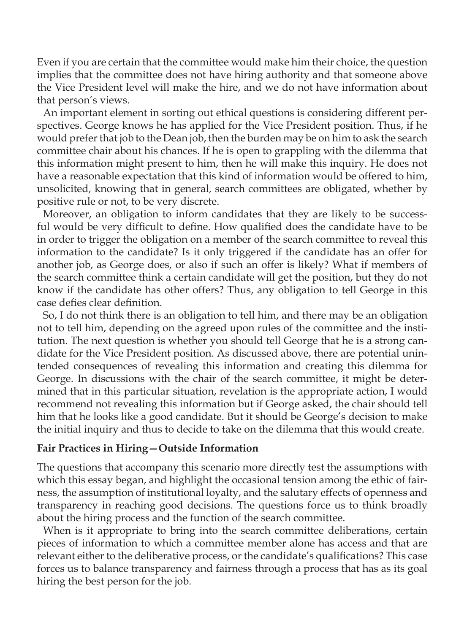Even if you are certain that the committee would make him their choice, the question implies that the committee does not have hiring authority and that someone above the Vice President level will make the hire, and we do not have information about that person's views.

An important element in sorting out ethical questions is considering different perspectives. George knows he has applied for the Vice President position. Thus, if he would prefer that job to the Dean job, then the burden may be on him to ask the search committee chair about his chances. If he is open to grappling with the dilemma that this information might present to him, then he will make this inquiry. He does not have a reasonable expectation that this kind of information would be offered to him, unsolicited, knowing that in general, search committees are obligated, whether by positive rule or not, to be very discrete.

Moreover, an obligation to inform candidates that they are likely to be successful would be very difficult to define. How qualified does the candidate have to be in order to trigger the obligation on a member of the search committee to reveal this information to the candidate? Is it only triggered if the candidate has an offer for another job, as George does, or also if such an offer is likely? What if members of the search committee think a certain candidate will get the position, but they do not know if the candidate has other offers? Thus, any obligation to tell George in this case defies clear definition.

So, I do not think there is an obligation to tell him, and there may be an obligation not to tell him, depending on the agreed upon rules of the committee and the institution. The next question is whether you should tell George that he is a strong candidate for the Vice President position. As discussed above, there are potential unintended consequences of revealing this information and creating this dilemma for George. In discussions with the chair of the search committee, it might be determined that in this particular situation, revelation is the appropriate action, I would recommend not revealing this information but if George asked, the chair should tell him that he looks like a good candidate. But it should be George's decision to make the initial inquiry and thus to decide to take on the dilemma that this would create.

### **Fair Practices in Hiring—Outside Information**

The questions that accompany this scenario more directly test the assumptions with which this essay began, and highlight the occasional tension among the ethic of fairness, the assumption of institutional loyalty, and the salutary effects of openness and transparency in reaching good decisions. The questions force us to think broadly about the hiring process and the function of the search committee.

When is it appropriate to bring into the search committee deliberations, certain pieces of information to which a committee member alone has access and that are relevant either to the deliberative process, or the candidate's qualifications? This case forces us to balance transparency and fairness through a process that has as its goal hiring the best person for the job.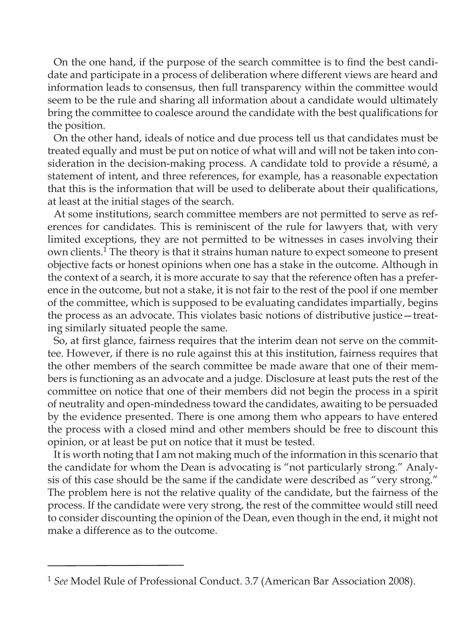On the one hand, if the purpose of the search committee is to find the best candidate and participate in a process of deliberation where different views are heard and information leads to consensus, then full transparency within the committee would seem to be the rule and sharing all information about a candidate would ultimately bring the committee to coalesce around the candidate with the best qualifications for the position.

On the other hand, ideals of notice and due process tell us that candidates must be treated equally and must be put on notice of what will and will not be taken into consideration in the decision-making process. A candidate told to provide a résumé, a statement of intent, and three references, for example, has a reasonable expectation that this is the information that will be used to deliberate about their qualifications, at least at the initial stages of the search.

At some institutions, search committee members are not permitted to serve as references for candidates. This is reminiscent of the rule for lawyers that, with very limited exceptions, they are not permitted to be witnesses in cases involving their own clients.<sup>1</sup> The theory is that it strains human nature to expect someone to present objective facts or honest opinions when one has a stake in the outcome. Although in the context of a search, it is more accurate to say that the reference often has a preference in the outcome, but not a stake, it is not fair to the rest of the pool if one member of the committee, which is supposed to be evaluating candidates impartially, begins the process as an advocate. This violates basic notions of distributive justice—treating similarly situated people the same.

So, at first glance, fairness requires that the interim dean not serve on the committee. However, if there is no rule against this at this institution, fairness requires that the other members of the search committee be made aware that one of their members is functioning as an advocate and a judge. Disclosure at least puts the rest of the committee on notice that one of their members did not begin the process in a spirit of neutrality and open-mindedness toward the candidates, awaiting to be persuaded by the evidence presented. There is one among them who appears to have entered the process with a closed mind and other members should be free to discount this opinion, or at least be put on notice that it must be tested.

It is worth noting that I am not making much of the information in this scenario that the candidate for whom the Dean is advocating is "not particularly strong." Analysis of this case should be the same if the candidate were described as "very strong." The problem here is not the relative quality of the candidate, but the fairness of the process. If the candidate were very strong, the rest of the committee would still need to consider discounting the opinion of the Dean, even though in the end, it might not make a difference as to the outcome.

<sup>1</sup> *See* Model Rule of Professional Conduct. 3.7 (American Bar Association 2008).